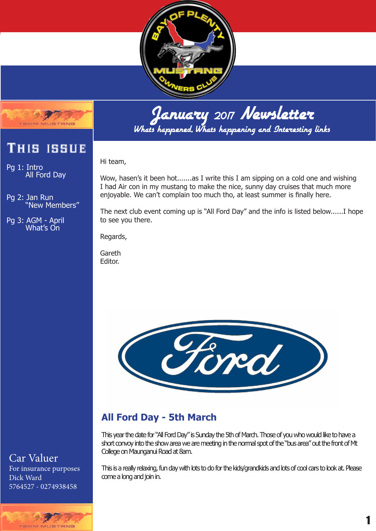



## This issue

Pg 1: Intro All Ford Day

Pg 2: Jan Run **Mew Members** "

Pg 3: AGM - April What's On

January <sup>2017</sup> Newsletter Whats happened, Whats happening and Interesting links

Hi team,

Wow, hasen's it been hot.......as I write this I am sipping on a cold one and wishing I had Air con in my mustang to make the nice, sunny day cruises that much more enjoyable. We can't complain too much tho, at least summer is finally here.

The next club event coming up is "All Ford Day" and the info is listed below......I hope to see you there.

Regards,

Gareth Editor.



### **All Ford Day - 5th March**

This year the date for "All Ford Day" is Sunday the 5th of March. Those of you who would like to have a short convoy into the show area we are meeting in the normal spot of the "bus area" out the front of Mt College on Maunganui Road at 8am.

This is a really relaxing, fun day with lots to do for the kids/grandkids and lots of cool cars to look at. Please come a long and join in.

### Car Valuer

For insurance purposes Dick Ward 5764527 - 0274938458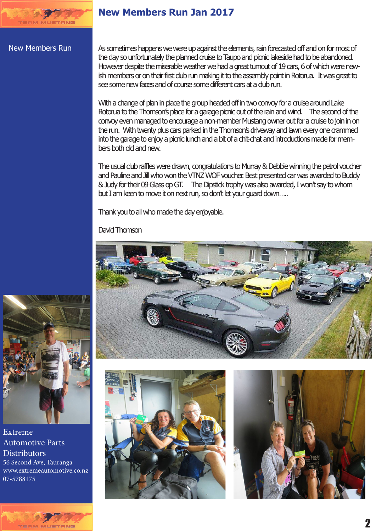

### **New Members Run Jan 2017**

#### New Members Run

As sometimes happens we were up against the elements, rain forecasted off and on for most of the day so unfortunately the planned cruise to Taupo and picnic lakeside had to be abandoned. However despite the miserable weather we had a great turnout of 19 cars, 6 of which were newish members or on their first dub run making it to the assembly point in Rotorua. It was great to see some new faces and of course some different cars at a club run.

With a change of plan in place the group headed off in two convoy for a guise around Lake Rotorua to the Thomson's place for a garage picnic out of the rain and wind. The second of the convoy even managed to encourage a non-member Mustang owner out for a cruise to join in on the run. With twenty plus cars parked in the Thomson's driveway and lawn every one crammed into the garage to enjoy a picnic lunch and a bit of a chit-chat and introductions made for members both old and new.

The usual club raffles were drawn, congratulations to Murray & Debbie winning the petrol voucher and Pauline and Jill who won the VTNZ WOF voucher. Best presented car was awarded to Buddy & Judy for their 09 Glass op GT. The Dipstick trophy was also awarded, I won't say to whom but I am keen to move it on next run, so don't let your guard down…..

Thank you to all who made the day enjoyable.

David Thomson









Extreme Automotive Parts Distributors 56 Second Ave, Tauranga www.extremeautomotive.co.nz 07-5788175